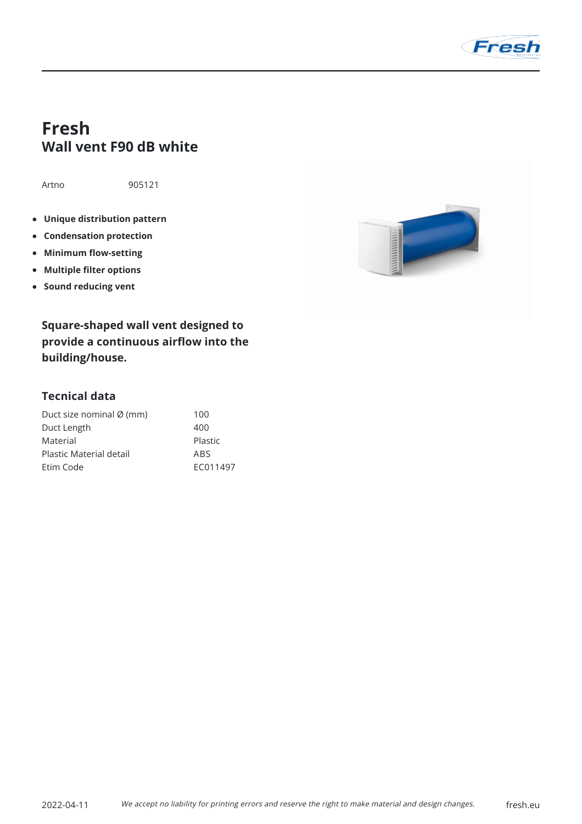

## **Fresh Wall vent F90 dB white**

Artno 905121

- **Unique distribution pattern**
- **Condensation protection**
- **Minimum flow-setting**  $\bullet$
- **Multiple filter options**
- **•** Sound reducing vent

1111111111111

**Square-shaped wall vent designed to provide a continuous airflow into the building/house.**

## **Tecnical data**

| Duct size nominal Ø (mm) | 100      |
|--------------------------|----------|
| Duct Length              | 400      |
| Material                 | Plastic  |
| Plastic Material detail  | ABS      |
| Etim Code                | FC011497 |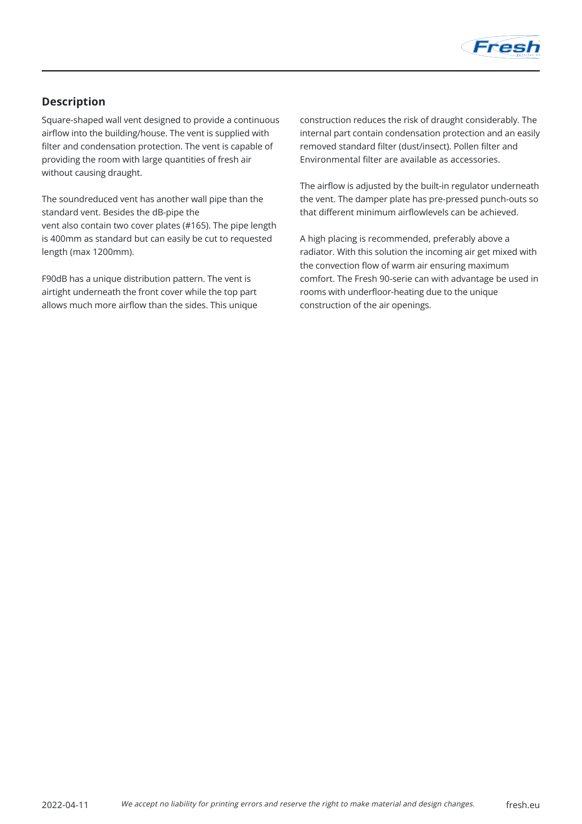

## **Description**

Square-shaped wall vent designed to provide a continuous airflow into the building/house. The vent is supplied with filter and condensation protection. The vent is capable of providing the room with large quantities of fresh air without causing draught.

The soundreduced vent has another wall pipe than the standard vent. Besides the dB-pipe the vent also contain two cover plates (#165). The pipe length is 400mm as standard but can easily be cut to requested length (max 1200mm).

F90dB has a unique distribution pattern. The vent is airtight underneath the front cover while the top part allows much more airflow than the sides. This unique construction reduces the risk of draught considerably. The internal part contain condensation protection and an easily removed standard filter (dust/insect). Pollen filter and Environmental filter are available as accessories.

The airflow is adjusted by the built-in regulator underneath the vent. The damper plate has pre-pressed punch-outs so that different minimum airflowlevels can be achieved.

A high placing is recommended, preferably above a radiator. With this solution the incoming air get mixed with the convection flow of warm air ensuring maximum comfort. The Fresh 90-serie can with advantage be used in rooms with underfloor-heating due to the unique construction of the air openings.